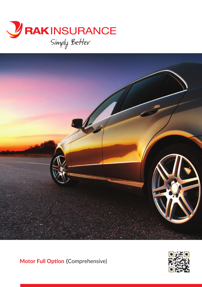



**Motor Full Option (**Comprehensive)

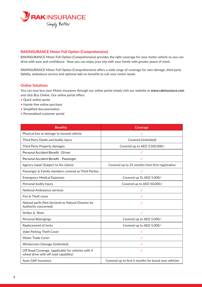

## **RAKINSURANCE Motor Full Option (Comprehensive)**

RAKINSURANCE Motor Full Option (Comprehensive) provides the right coverage for your motor vehicle so you can drive with ease and confidence. Now you can enjoy your trip with your family with greater peace of mind.

RAKINSURANCE Motor Full Option (Comprehensive) offers a wide range of coverage for own damage, third party liability, ambulance service and optional add-on benefits to suit your motor needs.

## **Online Solutions**

You can now buy your Motor insurance through our online portal simply visit our website at **www.rakinsurance.com** and click Buy Online. Our online portal offers:

- Quick online quote
- Hassle free online purchase
- Simplified documentation
- Personalised customer portal

| <b>Benefits</b>                                                                            | Coverage                                            |
|--------------------------------------------------------------------------------------------|-----------------------------------------------------|
| Physical loss or damage to insured vehicle                                                 | ✓                                                   |
| Third Party Death and bodily injury                                                        | Covered (Unlimited)                                 |
| Third Party Property damages                                                               | Covered up to AED 3,500,000/-                       |
| Personal Accident Benefit -Driver                                                          |                                                     |
| Personal Accident Benefit - Passenger                                                      | ✓                                                   |
| Agency repair (Subject to No claims)                                                       | Covered up to 25 months from first registration     |
| Passenger & Family members covered as Third Parties                                        |                                                     |
| <b>Emergency Medical Expenses</b>                                                          | Covered up To AED 5,000/-                           |
| Personal bodily Injury                                                                     | Covered up to AED 50,000/-                          |
| National Ambulance services                                                                | ✓                                                   |
| Fire & Theft cover                                                                         | ✓                                                   |
| Natural perils (Not declared as Natural Disaster by<br>Authority concerned)                | $\checkmark$                                        |
| Strikes & Riots                                                                            | $\checkmark$                                        |
| Personal Belongings                                                                        | Covered up to AED 5,000/-                           |
| Replacement of locks                                                                       | Covered up to AED 5,000/-                           |
| Valet Parking Theft Cover                                                                  | $\checkmark$                                        |
| Motor Trade Cover                                                                          | ✓                                                   |
| Windscreen Damage (Unlimited)                                                              | ✓                                                   |
| Off Road Coverage (applicable for vehicles with 4<br>wheel drive with off road capability) | $\checkmark$                                        |
| Auto GAP Insurance                                                                         | Covered up to first 6 months for brand new vehicles |